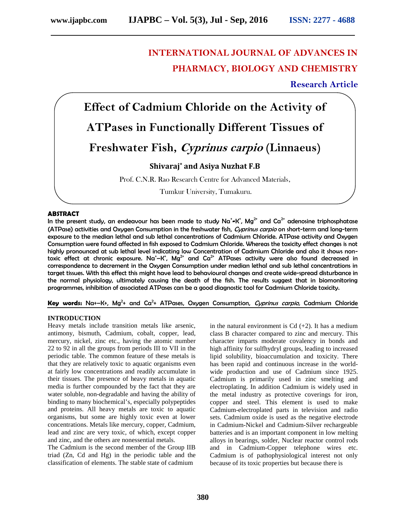# **INTERNATIONAL JOURNAL OF ADVANCES IN PHARMACY, BIOLOGY AND CHEMISTRY**

# **Research Article**

**Effect of Cadmium Chloride on the Activity of ATPases in Functionally Different Tissues of Freshwater Fish,** *Cyprinus carpio* **(Linnaeus) Shivaraj\* and Asiya Nuzhat F.B** Prof. C.N.R. Rao Research Centre for Advanced Materials,

Tumkur University, Tumakuru.

#### **ABSTRACT**

In the present study, an endeavour has been made to study Na<sup>+</sup>**-**K<sup>+</sup>, Mg<sup>2+</sup> and Ca<sup>2+</sup> adenosine triphosphatase (ATPase) activities and Oxygen Consumption in the freshwater fish, *Cyprinus carpio* on short-term and long-term exposure to the median lethal and sub lethal concentrations of Cadmium Chloride. ATPase activity and Oxygen Consumption were found affected in fish exposed to Cadmium Chloride. Whereas the toxicity effect changes is not highly pronounced at sub lethal level indicating low Concentration of Cadmium Chloride and also it shows nontoxic effect at chronic exposure. Na<sup>+</sup>–K<sup>+</sup>, Mg<sup>2+</sup> and Ca<sup>2+</sup> ATPases activity were also found decreased in correspondence to decrement in the Oxygen Consumption under median lethal and sub lethal concentrations in target tissues. With this effect this might have lead to behavioural changes and create wide-spread disturbance in the normal physiology, ultimately causing the death of the fish. The results suggest that in biomonitoring programmes, inhibition of associated ATPases can be a good diagnostic tool for Cadmium Chloride toxicity.

#### Key words: Na+-K+, Mg<sup>2</sup>+ and Ca<sup>2</sup>+ ATPases, Oxygen Consumption, *Cyprinus carpio*, Cadmium Chloride

#### **INTRODUCTION**

Heavy metals include transition metals like arsenic, antimony, bismuth, Cadmium, cobalt, copper, lead, mercury, nickel, zinc etc., having the atomic number 22 to 92 in all the groups from periods III to VII in the periodic table. The common feature of these metals is that they are relatively toxic to aquatic organisms even at fairly low concentrations and readily accumulate in their tissues. The presence of heavy metals in aquatic media is further compounded by the fact that they are water soluble, non-degradable and having the ability of binding to many biochemical's, especially polypeptides and proteins. All heavy metals are toxic to aquatic organisms, but some are highly toxic even at lower concentrations. Metals like mercury, copper, Cadmium, lead and zinc are very toxic, of which, except copper and zinc, and the others are nonessential metals.

The Cadmium is the second member of the Group IIB triad (Zn, Cd and Hg) in the periodic table and the classification of elements. The stable state of cadmium

in the natural environment is  $Cd$  (+2). It has a medium class B character compared to zinc and mercury. This character imparts moderate covalency in bonds and high affinity for sulfhydryl groups, leading to increased lipid solubility, bioaccumulation and toxicity. There has been rapid and continuous increase in the world wide production and use of Cadmium since 1925. Cadmium is primarily used in zinc smelting and electroplating. In addition Cadmium is widely used in the metal industry as protective coverings for iron, copper and steel. This element is used to make Cadmium-electroplated parts in television and radio sets. Cadmium oxide is used as the negative electrode in Cadmium-Nickel and Cadmium-Silver rechargeable batteries and is an important component in low melting alloys in bearings, solder, Nuclear reactor control rods and in Cadmium-Copper telephone wires etc. Cadmium is of pathophysiological interest not only because of its toxic properties but because there is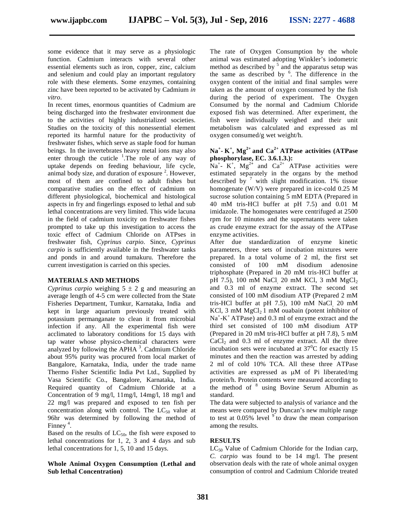some evidence that it may serve as a physiologic function. Cadmium interacts with several other essential elements such as iron, copper, zinc, calcium and selenium and could play an important regulatory role with these elements. Some enzymes, containing zinc have been reported to be activated by Cadmium *in vitro*.

In recent times, enormous quantities of Cadmium are being discharged into the freshwater environment due to the activities of highly industrialized societies. Studies on the toxicity of this nonessential element reported its harmful nature for the productivity of freshwater fishes, which serve as staple food for human beings. In the invertebrates heavy metal ions may also enter through the cuticle  $\frac{1}{1}$ . The role of any way of uptake depends on feeding behaviour, life cycle, animal body size, and duration of exposure  $2$ . However, most of them are confined to adult fishes but comparative studies on the effect of cadmium on different physiological, biochemical and histological aspects in fry and fingerlings exposed to lethal and sub lethal concentrations are very limited. This wide lacuna in the field of cadmium toxicity on freshwater fishes prompted to take up this investigation to access the toxic effect of Cadmium Chloride on ATPses in freshwater fish, *Cyprinus carpio*. Since, *Cyprinus carpio* is sufficiently available in the freshwater tanks and ponds in and around tumakuru. Therefore the current investigation is carried on this species.

### **MATERIALS AND METHODS**

*Cyprinus carpio* weighing  $5 \pm 2$  g and measuring an average length of 4-5 cm were collected from the State Fisheries Department, Tumkur, Karnataka, India and kept in large aquarium previously treated with potassium permanganate to clean it from microbial infection if any. All the experimental fish were acclimated to laboratory conditions for 15 days with tap water whose physico-chemical characters were analyzed by following the APHA  $3$ . Cadmium Chloride inc about 95% purity was procured from local market of Bangalore, Karnataka, India, under the trade name Thermo Fisher Scientific India Pvt Ltd., Supplied by Vasa Scientific Co., Bangalore, Karnataka, India. Required quantity of Cadmium Chloride at a Concentration of 9 mg/l, 11mg/l, 14mg/l, 18 mg/l and 22 mg/l was prepared and exposed to ten fish per concentration along with control. The  $LC_{50}$  value at 96hr was determined by following the method of Finney<sup>4</sup>.

Based on the results of  $LC_{50}$ , the fish were exposed to lethal concentrations for 1, 2, 3 and 4 days and sub lethal concentrations for 1, 5, 10 and 15 days.

# **Whole Animal Oxygen Consumption (Lethal and Sub lethal Concentration)**

The rate of Oxygen Consumption by the whole animal was estimated adopting Winkler's iodometric method as described by  $5$  and the apparatus setup was the same as described by  $6$ . The difference in the oxygen content of the initial and final samples were taken as the amount of oxygen consumed by the fish during the period of experiment. The Oxygen Consumed by the normal and Cadmium Chloride exposed fish was determined. After experiment, the fish were individually weighed and their unit metabolism was calculated and expressed as ml oxygen consumed/g wet weight/h.

# **Na<sup>+</sup> - K + , Mg2+ and Ca2+ ATPase activities (ATPase phosphorylase, EC. 3.6.1.3.):**

 $\overline{N}a^{+}$ -  $\overline{K}^{+}$ ,  $\overline{M}g^{2+}$  and  $\overline{Ca}^{2+}$  ATPase activities were estimated separately in the organs by the method described by  $\frac{7}{7}$  with slight modification. 1% tissue homogenate (W/V) were prepared in ice-cold 0.25 M sucrose solution containing 5 mM EDTA (Prepared in 40 mM tris-HCl buffer at pH 7.5) and 0.01 M imidazole. The homogenates were centrifuged at 2500 rpm for 10 minutes and the supernatants were taken as crude enzyme extract for the assay of the ATPase enzyme activities.

After due standardization of enzyme kinetic parameters, three sets of incubation mixtures were prepared. In a total volume of 2 ml, the first set consisted of 100 mM disodium adenosine triphosphate (Prepared in 20 mM tris-HCl buffer at pH 7.5), 100 mM NaCl<sub>,</sub> 20 mM KCl, 3 mM MgCl<sub>2</sub> and 0.3 ml of enzyme extract. The second set consisted of 100 mM disodium ATP (Prepared 2 mM tris-HCl buffer at pH 7.5), 100 mM NaCl, 20 mM KCl, 3 mM  $MgCl<sub>2</sub>1$  mM ouabain (potent inhibitor of Na<sup>+</sup>-K<sup>+</sup> ATPase) and 0.3 ml of enzyme extract and the third set consisted of 100 mM disodium ATP (Prepared in 20 mM tris-HCl buffer at pH 7.8), 5 mM  $CaCl<sub>2</sub>$  and 0.3 ml of enzyme extract. All the three incubation sets were incubated at  $37^{\circ}$ C for exactly 15 minutes and then the reaction was arrested by adding 2 ml of cold 10% TCA. All these three ATPase activities are expressed as  $\mu$ M of Pi liberated/mg protein/h. Protein contents were measured according to the method of <sup>8</sup> using Bovine Serum Albumin as standard.

The data were subjected to analysis of variance and the means were compared by Duncan's new multiple range to test at  $0.05\%$  level  $9$  to draw the mean comparison among the results.

#### **RESULTS**

 $LC_{50}$  Value of Cadmium Chloride for the Indian carp, *C. carpio* was found to be 14 mg/l. The present observation deals with the rate of whole animal oxygen consumption of control and Cadmium Chloride treated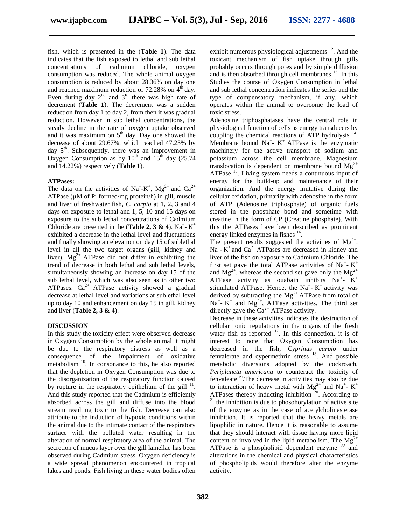fish, which is presented in the (**Table 1**). The data indicates that the fish exposed to lethal and sub lethal concentrations of cadmium chloride, oxygen consumption was reduced. The whole animal oxygen consumption is reduced by about 28.36% on day one and reached maximum reduction of  $72.28\%$  on  $4<sup>th</sup>$  day. Even during day  $2<sup>nd</sup>$  and  $3<sup>rd</sup>$  there was high rate of decrement (**Table 1**). The decrement was a sudden reduction from day 1 to day 2, from then it was gradual reduction. However in sub lethal concentrations, the steady decline in the rate of oxygen uptake observed and it was maximum on  $5<sup>th</sup>$  day. Day one showed the decrease of about 29.67%, which reached 47.25% by day  $5<sup>th</sup>$ . Subsequently, there was an improvement in Oxygen Consumption as by  $10^{th}$  and  $15^{th}$  day (25.74) and 14.22%) respectively (**Table 1**).

#### **ATPases:**

The data on the activities of Na<sup>+</sup>-K<sup>+</sup>, Mg<sup>2+</sup> and Ca<sup>2+</sup> o ATPase (µM of Pi formed/mg protein/h) in gill, muscle and liver of freshwater fish, *C. carpio* at 1, 2, 3 and 4 days on exposure to lethal and 1, 5, 10 and 15 days on exposure to the sub lethal concentrations of Cadmium Chloride are presented in the (**Table 2, 3 & 4**). Na<sup>+</sup>-K<sup>+</sup> exhibited a decrease in the lethal level and fluctuations and finally showing an elevation on day 15 of sublethal level in all the two target organs (gill, kidney and liver).  $Mg^{2+}$  ATPase did not differ in exhibiting the trend of decrease in both lethal and sub lethal levels, simultaneously showing an increase on day 15 of the sub lethal level, which was also seen as in other two ATPases.  $Ca^{2+}$  ATPase activity showed a gradual decrease at lethal level and variations at sublethal level up to day 10 and enhancement on day 15 in gill, kidney and liver (**Table 2, 3 & 4**).

#### **DISCUSSION**

In this study the toxicity effect were observed decrease in Oxygen Consumption by the whole animal it might be due to the respiratory distress as well as a consequence of the impairment of oxidative metabolism<sup>10</sup>. In consonance to this, he also reported that the depletion in Oxygen Consumption was due to the disorganization of the respiratory function caused by rupture in the respiratory epithelium of the gill  $11$ . And this study reported that the Cadmium is efficiently absorbed across the gill and diffuse into the blood stream resulting toxic to the fish. Decrease can also attribute to the induction of hypoxic conditions within the animal due to the intimate contact of the respiratory surface with the polluted water resulting in the alteration of normal respiratory area of the animal. The secretion of mucus layer over the gill lamellae has been observed during Cadmium stress. Oxygen deficiency is a wide spread phenomenon encountered in tropical lakes and ponds. Fish living in these water bodies often

exhibit numerous physiological adjustments <sup>12</sup>. And the toxicant mechanism of fish uptake through gills probably occurs through pores and by simple diffusion and is then absorbed through cell membranes  $<sup>13</sup>$ . In this</sup> Studies the course of Oxygen Consumption in lethal and sub lethal concentration indicates the series and the type of compensatory mechanism, if any, which operates within the animal to overcome the load of toxic stress.

 $-K^+$  this the ATPases have been described as prominent Adenosine triphosphatases have the central role in physiological function of cells as energy transducers by coupling the chemical reactions of ATP hydrolysis  $14$ . Membrane bound  $Na^+$ - K<sup>+</sup> ATPase is the enzymatic machinery for the active transport of sodium and potassium across the cell membrane. Magnesium translocation is dependent on membrane bound  $Mg^{2+}$ ATPase <sup>15</sup>. Living system needs a continuous input of energy for the build-up and maintenance of their organization. And the energy imitative during the cellular oxidation, primarily with adenosine in the form of ATP (Adenosine triphosphate) of organic fuels stored in the phosphate bond and sometime with creatine in the form of CP (Creatine phosphate). With energy linked enzymes in fishes <sup>16</sup>.

The present results suggested the activities of  $Mg^{2+}$ , ,  $Na<sup>+</sup> - K<sup>+</sup>$  and  $Ca<sup>2+</sup> ATP$  as are decreased in kidney and liver of the fish on exposure to Cadmium Chloride. The first set gave the total ATPase activities of  $Na^+$ -  $K^+$ and  $Mg^{2+}$ , whereas the second set gave only the  $Mg^{2+}$ ATPase activity as ouabain inhibits  $Na^+ - K^+$ stimulated ATPase. Hence, the  $Na^+$ - K<sup>+</sup> activity was derived by subtracting the  $Mg^{2+}$  ATPase from total of  $Na<sup>+</sup>$  K<sup>+</sup> and Mg<sup>2+</sup>, ATPase activities. The third set directly gave the  $Ca^{2+}$  ATPase activity.

Decrease in these activities indicates the destruction of cellular ionic regulations in the organs of the fresh water fish as reported  $17$ . In this connection, it is of interest to note that Oxygen Consumption has decreased in the fish, *Cyprinus carpio* under fenvalerate and cypermethrin stress  $^{18}$ . And possible metabolic diversions adopted by the cockroach, *Periplaneta americana* to counteract the toxicity of fenvaleate <sup>19</sup> .The decrease in activities may also be due to interaction of heavy metal with  $Mg^{2+}$  and Na<sup>+</sup>- K<sup>+</sup> ATPases thereby inducting inhibition  $20$ . According to  $21$  the inhibition is due to phosohorylation of active site of the enzyme as in the case of acetylcholinesterase inhibition. It is reported that the heavy metals are lipophilic in nature. Hence it is reasonable to assume that they should interact with tissue having more lipid content or involved in the lipid metabolism. The  $Mg^{2+}$ ATPase is a phospholipid dependent enzyme  $^{22}$  and alterations in the chemical and physical characteristics of phospholipids would therefore alter the enzyme activity.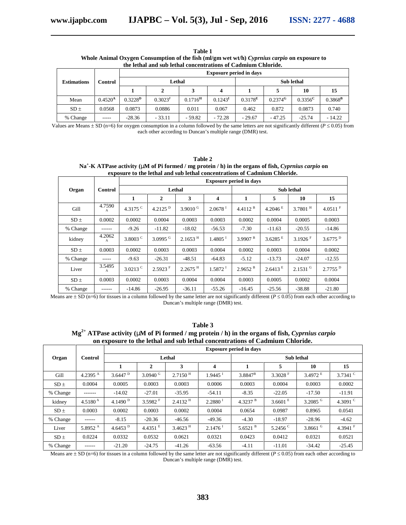| Table 1                                                                                     |  |
|---------------------------------------------------------------------------------------------|--|
| Whole Animal Oxygen Consumption of the fish (ml/gm wet wt/h) Cyprnius carpio on exposure to |  |
| the lethal and sub lethal concentrations of Cadmium Chloride.                               |  |

|                    | Control      | <b>Exposure period in days</b> |                     |                       |                       |                     |                       |                  |                  |  |
|--------------------|--------------|--------------------------------|---------------------|-----------------------|-----------------------|---------------------|-----------------------|------------------|------------------|--|
| <b>Estimations</b> |              |                                | Lethal              |                       |                       | <b>Sub</b> lethal   |                       |                  |                  |  |
|                    |              |                                | ▵                   |                       |                       |                     |                       | 10               | 15               |  |
| Mean               | $0.4520^{A}$ | $0.3228^{\rm D}$               | 0.3023 <sup>F</sup> | $0.1716$ <sup>H</sup> | $0.1243$ <sup>1</sup> | 0.3178 <sup>E</sup> | $0.2374$ <sup>G</sup> | $0.3356^{\rm C}$ | $0.3868^{\rm B}$ |  |
| $SD \pm$           | 0.0568       | 0.0873                         | 0.0886              | 0.011                 | 0.067                 | 0.462               | 0.872                 | 0.0873           | 0.740            |  |
| % Change           | $- - - - -$  | $-28.36$                       | $-33.11$            | $-59.82$              | $-72.28$              | $-29.67$            | $-47.25$              | $-25.74$         | $-14.22$         |  |

Values are Means  $\pm$  SD (n=6) for oxygen consumption in a column followed by the same letters are not significantly different ( $P \le 0.05$ ) from each other according to Duncan's multiple range (DMR) test.

**Table 2 Na<sup>+</sup> -K ATPase activity (M of Pi formed / mg protein / h) in the organs of fish,** *Cyprnius carpio* **on exposure to the lethal and sub lethal concentrations of Cadmium Chloride.**

|          |             | <b>Exposure period in days</b> |                       |                       |                       |                       |                       |                       |                       |  |
|----------|-------------|--------------------------------|-----------------------|-----------------------|-----------------------|-----------------------|-----------------------|-----------------------|-----------------------|--|
| Organ    | Control     | Lethal                         |                       |                       |                       | <b>Sub lethal</b>     |                       |                       |                       |  |
|          |             | 1                              | 2                     | 3                     | 4                     | 1                     | 5                     | 10                    | 15                    |  |
| Gill     | 4.7590<br>A | 4.3175 $^{\circ}$              | 4.2125 $^{\rm D}$     | 3.9010 $G$            | $2.0678$ <sup>I</sup> | $4.4112$ <sup>B</sup> | $4.2046$ <sup>E</sup> | $3.7801$ <sup>H</sup> | $4.0511$ <sup>F</sup> |  |
| $SD \pm$ | 0.0002      | 0.0002                         | 0.0004                | 0.0003                | 0.0003                | 0.0002                | 0.0004                | 0.0005                | 0.0003                |  |
| % Change | ------      | $-9.26$                        | $-11.82$              | $-18.02$              | $-56.53$              | $-7.30$               | $-11.63$              | $-20.55$              | $-14.86$              |  |
| kidney   | 4.2062<br>A | 3.8003 <sup>c</sup>            | 3.0995 $^{\rm G}$     | $2.1653$ <sup>H</sup> | $1.4805$ <sup>I</sup> | $3.9907$ <sup>B</sup> | 3.6285 E              | 3.1926 F              | $3.6775$ <sup>D</sup> |  |
| $SD \pm$ | 0.0003      | 0.0002                         | 0.0003                | 0.0003                | 0.0004                | 0.0002                | 0.0003                | 0.0004                | 0.0002                |  |
| % Change | -----       | $-9.63$                        | $-26.31$              | $-48.51$              | $-64.83$              | $-5.12$               | $-13.73$              | $-24.07$              | $-12.55$              |  |
| Liver    | 3.5495<br>A | $3.0213$ <sup>C</sup>          | $2.5923$ <sup>F</sup> | $2.2675$ <sup>H</sup> | $1.5872$ <sup>I</sup> | 2.9652 <sup>B</sup>   | $2.6413^{\mathrm{E}}$ | $2.1531$ <sup>G</sup> | $2.7755$ <sup>D</sup> |  |
| $SD \pm$ | 0.0003      | 0.0002                         | 0.0003                | 0.0004                | 0.0004                | 0.0003                | 0.0005                | 0.0002                | 0.0004                |  |
| % Change | ------      | $-14.86$                       | $-26.95$              | $-36.11$              | $-55.26$              | $-16.45$              | $-25.56$              | $-38.88$              | $-21.80$              |  |

Means are  $\pm$  SD (n=6) for tissues in a column followed by the same letter are not significantly different ( $P \le 0.05$ ) from each other according to Duncan's multiple range (DMR) test.

| Table 3                                                                                             |
|-----------------------------------------------------------------------------------------------------|
| $Mg^{2+}$ ATPase activity (~M of Pi formed / mg protein / h) in the organs of fish, Cyprnius carpio |
| on exposure to the lethal and sub lethal concentrations of Cadmium Chloride.                        |

|          |                   | <b>Exposure period in days</b> |                       |                       |                       |                   |                   |            |                   |
|----------|-------------------|--------------------------------|-----------------------|-----------------------|-----------------------|-------------------|-------------------|------------|-------------------|
| Organ    | Control           | Lethal                         |                       |                       |                       | <b>Sub</b> lethal |                   |            |                   |
|          |                   |                                | $\overline{2}$        | 3                     | 4                     | 1                 | 5                 | 10         | 15                |
| Gill     | 4.2395 $^{\rm A}$ | $3.6447$ <sup>D</sup>          | 3.0940 $G$            | $2.7150$ <sup>H</sup> | $1.9445$ <sup>I</sup> | $3.8847^{\rm B}$  | 3.3028 $F$        | 3.4972 E   | 3.7341 $^{\circ}$ |
| $SD \pm$ | 0.0004            | 0.0005                         | 0.0003                | 0.0003                | 0.0006                | 0.0003            | 0.0004            | 0.0003     | 0.0002            |
| % Change | -------           | $-14.02$                       | $-27.01$              | $-35.95$              | $-54.11$              | $-8.35$           | $-22.05$          | $-17.50$   | $-11.91$          |
| kidney   | $4.5180^{A}$      | 4.1490 $^{\rm D}$              | $3.5982$ <sup>F</sup> | $2.4132$ <sup>H</sup> | 2.2880 <sup>1</sup>   | 4.3237 $B$        | 3.6601 E          | 3.2085 $G$ | 4.3091 $^{\circ}$ |
| $SD \pm$ | 0.0003            | 0.0002                         | 0.0003                | 0.0002                | 0.0004                | 0.0654            | 0.0987            | 0.8965     | 0.0541            |
| % Change | ------            | $-8.15$                        | $-20.36$              | $-46.56$              | $-49.36$              | $-4.30$           | $-18.97$          | $-28.96$   | $-4.62$           |
| Liver    | 5.8952 $^{\rm A}$ | 4.6453 $^{\rm D}$              | 4.4351 $E$            | $3.4623$ <sup>H</sup> | $2.1476$ <sup>1</sup> | 5.6521 $B$        | 5.2456 $^{\circ}$ | 3.8661 $G$ | 4.3941 $F$        |
| $SD \pm$ | 0.0224            | 0.0332                         | 0.0532                | 0.0621                | 0.0321                | 0.0423            | 0.0412            | 0.0321     | 0.0521            |
| % Change | ------            | $-21.20$                       | $-24.75$              | $-41.26$              | $-63.56$              | $-4.11$           | $-11.01$          | $-34.42$   | $-25.45$          |

Means are  $\pm$  SD (n=6) for tissues in a column followed by the same letter are not significantly different ( $P \le 0.05$ ) from each other according to Duncan's multiple range (DMR) test.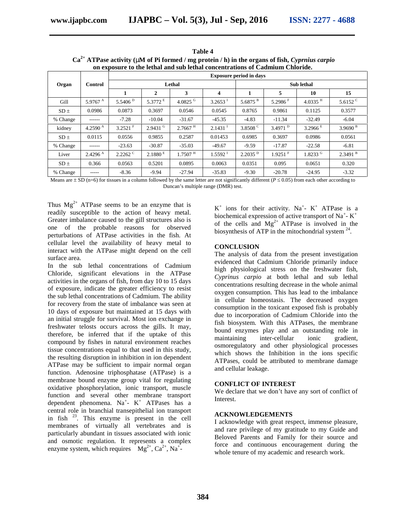| Table 4                                                                                          |
|--------------------------------------------------------------------------------------------------|
| $Ca2+ ATPase activity$ (~M of Pi formed / mg protein / h) in the organs of fish, Cyprnius carpio |
| on exposure to the lethal and sub lethal concentrations of Cadmium Chloride.                     |

|          |                     | <b>Exposure period in days</b> |                       |                       |                          |                       |                       |                       |                       |  |
|----------|---------------------|--------------------------------|-----------------------|-----------------------|--------------------------|-----------------------|-----------------------|-----------------------|-----------------------|--|
| Organ    | Control             | Lethal                         |                       |                       |                          | <b>Sub lethal</b>     |                       |                       |                       |  |
|          |                     |                                | 2                     | 3                     | $\overline{4}$           | 1                     | 5                     | 10                    | 15                    |  |
| Gill     | 5.9767 $^{\rm A}$   | 5.5406 <sup>D</sup>            | 5.3772 E              | 4.0825 $G$            | $3.2653$ <sup>I</sup>    | $5.6875$ <sup>B</sup> | 5.2986 F              | $4.0335$ <sup>H</sup> | 5.6152 $^{\circ}$     |  |
| $SD \pm$ | 0.0986              | 0.0873                         | 0.3697                | 0.0546                | 0.0545                   | 0.8765                | 0.9861                | 0.1125                | 0.3577                |  |
| % Change | ------              | $-7.28$                        | $-10.04$              | $-31.67$              | $-45.35$                 | $-4.83$               | $-11.34$              | $-32.49$              | $-6.04$               |  |
| kidney   | 4.2590 $^{A}$       | $3.2521$ <sup>F</sup>          | $2.9431$ <sup>G</sup> | $2.7667$ <sup>H</sup> | $2.1431$ <sup>T</sup>    | 3.8508 $^{\circ}$     | 3.4971 $^{\rm D}$     | 3.2966 E              | 3.9690 <sup>B</sup>   |  |
| $SD \pm$ | 0.0115              | 0.0556                         | 0.9855                | 0.2587                | 0.01453                  | 0.6985                | 0.3697                | 0.0986                | 0.0561                |  |
| % Change | ------              | $-23.63$                       | $-30.87$              | $-35.03$              | $-49.67$                 | $-9.59$               | $-17.87$              | $-22.58$              | $-6.81$               |  |
| Liver    | 2.4296 <sup>A</sup> | $2.2262$ <sup>C</sup>          | 2.1880 E              | $1.7507$ <sup>H</sup> | $1.5592$ $^{\mathrm{I}}$ | 2.2035 <sup>D</sup>   | $1.9251$ <sup>F</sup> | $1.8233$ <sup>G</sup> | $2.3491$ <sup>B</sup> |  |
| $SD \pm$ | 0.366               | 0.0563                         | 0.5201                | 0.0895                | 0.0063                   | 0.0351                | 0.095                 | 0.0651                | 0.320                 |  |
| % Change | -----               | $-8.36$                        | $-9.94$               | $-27.94$              | $-35.83$                 | $-9.30$               | $-20.78$              | $-24.95$              | $-3.32$               |  |

Means are  $\pm$  SD (n=6) for tissues in a column followed by the same letter are not significantly different ( $P \le 0.05$ ) from each other according to Duncan's multiple range (DMR) test.

Thus  $Mg^{2+}$  ATPase seems to be an enzyme that is readily susceptible to the action of heavy metal. Greater imbalance caused to the gill structures also is one of the probable reasons for observed perturbations of ATPase activities in the fish. At cellular level the availability of heavy metal to interact with the ATPase might depend on the cell surface area.

In the sub lethal concentrations of Cadmium Chloride, significant elevations in the ATPase activities in the organs of fish, from day 10 to 15 days of exposure, indicate the greater efficiency to resist the sub lethal concentrations of Cadmium. The ability for recovery from the state of imbalance was seen at 10 days of exposure but maintained at 15 days with an initial struggle for survival. Most ion exchange in freshwater telosts occurs across the gills. It may, therefore, be inferred that if the uptake of this compound by fishes in natural environment reaches tissue concentrations equal to that used in this study, the resulting disruption in inhibition in ion dependent ATPase may be sufficient to impair normal organ function. Adenosine triphosphatase (ATPase) is a membrane bound enzyme group vital for regulating oxidative phosphorylation, ionic transport, muscle function and several other membrane transport dependent phenomena. Na<sup>+</sup>-  $K^+$  ATPases has a central role in branchial transepithelial ion transport in fish <sup>23</sup>. This enzyme is present in the cell membranes of virtually all vertebrates and is particularly abundant in tissues associated with ionic and osmotic regulation. It represents a complex enzyme system, which requires  $Mg^{2+}$ , Ca<sup>2+</sup>, Na<sup>+</sup>-

 $K^+$  ions for their activity. Na<sup>+</sup>- K<sup>+</sup> ATPase is a biochemical expression of active transport of Na<sup>+</sup>- K<sup>+</sup> of the cells and  $Mg^{2+}$  ATPase is involved in the biosynthesis of ATP in the mitochondrial system  $24$ .

# **CONCLUSION**

The analysis of data from the present investigation evidenced that Cadmium Chloride primarily induce high physiological stress on the freshwater fish, *Cyprinus carpio* at both lethal and sub lethal concentrations resulting decrease in the whole animal oxygen consumption. This has lead to the imbalance in cellular homeostasis. The decreased oxygen consumption in the toxicant exposed fish is probably due to incorporation of Cadmium Chloride into the fish biosystem. With this ATPases, the membrane bound enzymes play and an outstanding role in maintaining inter-cellular ionic gradient, osmoregulatory and other physiological processes which shows the Inhibition in the ions specific ATPases, could be attributed to membrane damage and cellular leakage.

#### **CONFLICT OF INTEREST**

We declare that we don't have any sort of conflict of Interest.

#### **ACKNOWLEDGEMENTS**

I acknowledge with great respect, immense pleasure, and rare privilege of my gratitude to my Guide and Beloved Parents and Family for their source and force and continuous encouragement during the whole tenure of my academic and research work.